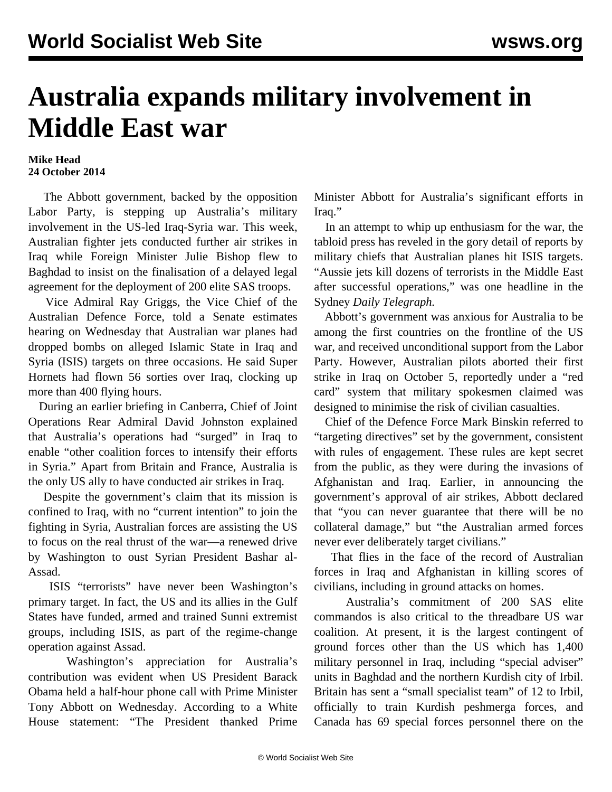## **Australia expands military involvement in Middle East war**

## **Mike Head 24 October 2014**

 The Abbott government, backed by the opposition Labor Party, is stepping up Australia's military involvement in the US-led Iraq-Syria war. This week, Australian fighter jets conducted further air strikes in Iraq while Foreign Minister Julie Bishop flew to Baghdad to insist on the finalisation of a delayed legal agreement for the deployment of 200 elite SAS troops.

 Vice Admiral Ray Griggs, the Vice Chief of the Australian Defence Force, told a Senate estimates hearing on Wednesday that Australian war planes had dropped bombs on alleged Islamic State in Iraq and Syria (ISIS) targets on three occasions. He said Super Hornets had flown 56 sorties over Iraq, clocking up more than 400 flying hours.

 During an earlier briefing in Canberra, Chief of Joint Operations Rear Admiral David Johnston explained that Australia's operations had "surged" in Iraq to enable "other coalition forces to intensify their efforts in Syria." Apart from Britain and France, Australia is the only US ally to have conducted air strikes in Iraq.

 Despite the government's claim that its mission is confined to Iraq, with no "current intention" to join the fighting in Syria, Australian forces are assisting the US to focus on the real thrust of the war—a renewed drive by Washington to oust Syrian President Bashar al-Assad.

 ISIS "terrorists" have never been Washington's primary target. In fact, the US and its allies in the Gulf States have funded, armed and trained Sunni extremist groups, including ISIS, as part of the regime-change operation against Assad.

 Washington's appreciation for Australia's contribution was evident when US President Barack Obama held a half-hour phone call with Prime Minister Tony Abbott on Wednesday. According to a White House statement: "The President thanked Prime Minister Abbott for Australia's significant efforts in Iraq."

 In an attempt to whip up enthusiasm for the war, the tabloid press has reveled in the gory detail of reports by military chiefs that Australian planes hit ISIS targets. "Aussie jets kill dozens of terrorists in the Middle East after successful operations," was one headline in the Sydney *Daily Telegraph.*

 Abbott's government was anxious for Australia to be among the first countries on the frontline of the US war, and received unconditional support from the Labor Party. However, Australian pilots aborted their first strike in Iraq on October 5, reportedly under a "red card" system that military spokesmen claimed was designed to minimise the risk of civilian casualties.

 Chief of the Defence Force Mark Binskin referred to "targeting directives" set by the government, consistent with rules of engagement. These rules are kept secret from the public, as they were during the invasions of Afghanistan and Iraq. Earlier, in announcing the government's approval of air strikes, Abbott declared that "you can never guarantee that there will be no collateral damage," but "the Australian armed forces never ever deliberately target civilians."

 That flies in the face of the record of Australian forces in Iraq and Afghanistan in killing scores of civilians, including in ground attacks on [homes](/en/articles/2010/10/auaf-o01.html).

 Australia's commitment of 200 SAS elite commandos is also critical to the threadbare US war coalition. At present, it is the largest contingent of ground forces other than the US which has 1,400 military personnel in Iraq, including "special adviser" units in Baghdad and the northern Kurdish city of Irbil. Britain has sent a "small specialist team" of 12 to Irbil, officially to train Kurdish peshmerga forces, and Canada has 69 special forces personnel there on the